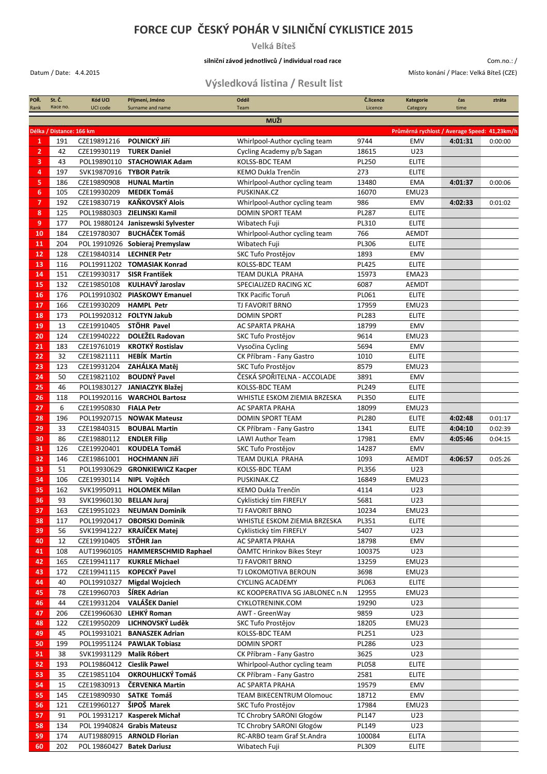## **FORCE CUP ČESKÝ POHÁR V SILNIČNÍ CYKLISTICE 2015**

**Velká Bíteš**

## **silniční závod jednotlivců / individual road race**

Datum / Date: 4.4.2015 Místo konání / Place: Velká Bíteš (CZE)

Com.no.: /

## **Výsledková listina / Result list**

| POR.<br>Rank   | St. C.<br>Race no.       | Kód UCI<br>UCI code       | Příjmení, Jméno<br>Surname and name | Oddíl<br>Team                   | C.licence<br>Licence | <b>Kategorie</b><br>Category                 | čas<br>time | ztráta  |  |
|----------------|--------------------------|---------------------------|-------------------------------------|---------------------------------|----------------------|----------------------------------------------|-------------|---------|--|
|                |                          |                           |                                     |                                 |                      |                                              |             |         |  |
|                | <b>MUŽI</b>              |                           |                                     |                                 |                      |                                              |             |         |  |
|                | Délka / Distance: 166 km |                           |                                     |                                 |                      | Průměrná rychlost / Average Speed: 41,23km/h |             |         |  |
| $\mathbf{1}$   | 191                      | CZE19891216               | POLNICKÝ Jiří                       | Whirlpool-Author cycling team   | 9744                 | EMV                                          | 4:01:31     | 0:00:00 |  |
| $\overline{2}$ | 42                       | CZE19930119               | <b>TUREK Daniel</b>                 | Cycling Academy p/b Sagan       | 18615                | U23                                          |             |         |  |
| 3              | 43                       |                           | POL19890110 STACHOWIAK Adam         | KOLSS-BDC TEAM                  | PL250                | <b>ELITE</b>                                 |             |         |  |
| 4              | 197                      | SVK19870916 TYBOR Patrik  |                                     | KEMO Dukla Trenčín              | 273                  | <b>ELITE</b>                                 |             |         |  |
| 5              | 186                      | CZE19890908               | <b>HUNAL Martin</b>                 | Whirlpool-Author cycling team   | 13480                | EMA                                          | 4:01:37     | 0:00:06 |  |
| 6              | 105                      | CZE19930209               | <b>MEDEK Tomáš</b>                  | PUSKINAK.CZ                     | 16070                | EMU23                                        |             |         |  |
| 7              | 192                      | CZE19830719               | KAŇKOVSKÝ Alois                     | Whirlpool-Author cycling team   | 986                  | EMV                                          | 4:02:33     | 0:01:02 |  |
| 8              | 125                      |                           | POL19880303 ZIELINSKI Kamil         | <b>DOMIN SPORT TEAM</b>         | PL287                | <b>ELITE</b>                                 |             |         |  |
| 9              | 177                      |                           | POL 19880124 Janiszewski Sylvester  | Wibatech Fuji                   | PL310                | <b>ELITE</b>                                 |             |         |  |
| 10             | 184                      | CZE19780307               | <b>BUCHÁČEK Tomáš</b>               | Whirlpool-Author cycling team   | 766                  | <b>AEMDT</b>                                 |             |         |  |
| 11             | 204                      |                           | POL 19910926 Sobieraj Premyslaw     | Wibatech Fuji                   | PL306                | <b>ELITE</b>                                 |             |         |  |
| 12             | 128                      | CZE19840314               | <b>LECHNER Petr</b>                 | SKC Tufo Prostějov              | 1893                 | EMV                                          |             |         |  |
| 13             | 116                      |                           | POL19911202 TOMASIAK Konrad         | KOLSS-BDC TEAM                  | <b>PL425</b>         | <b>ELITE</b>                                 |             |         |  |
| 14             | 151                      | CZE19930317               | <b>SISR František</b>               | TEAM DUKLA PRAHA                | 15973                | EMA23                                        |             |         |  |
| 15             | 132                      | CZE19850108               | KULHAVÝ Jaroslav                    | SPECIALIZED RACING XC           | 6087                 | <b>AEMDT</b>                                 |             |         |  |
| 16             | 176                      |                           | POL19910302 PIASKOWY Emanuel        | <b>TKK Pacific Toruň</b>        | PL061                | <b>ELITE</b>                                 |             |         |  |
| 17             | 166                      | CZE19930209               | <b>HAMPL Petr</b>                   | TJ FAVORIT BRNO                 | 17959                | EMU23                                        |             |         |  |
| 18             | 173                      |                           | POL19920312 FOLTYN Jakub            | <b>DOMIN SPORT</b>              | PL283                | <b>ELITE</b>                                 |             |         |  |
| 19             | 13                       | CZE19910405               | STÖHR Pavel                         | <b>AC SPARTA PRAHA</b>          | 18799                | EMV                                          |             |         |  |
| 20             | 124                      | CZE19940222               | <b>DOLEŽEL Radovan</b>              | SKC Tufo Prostějov              | 9614                 | EMU23                                        |             |         |  |
| 21             | 183                      | CZE19761019               | <b>KROTKÝ Rostislav</b>             | Vysočina Cycling                | 5694                 | EMV                                          |             |         |  |
| 22             | 32                       | CZE19821111               | <b>HEBÍK Martin</b>                 | CK Příbram - Fany Gastro        | 1010                 | <b>ELITE</b>                                 |             |         |  |
| 23             | 123                      | CZE19931204               | ZAHÁLKA Matěj                       | SKC Tufo Prostějov              | 8579                 | EMU23                                        |             |         |  |
| 24             | 50                       | CZE19821102               | <b>BOUDNÝ Pavel</b>                 | ČESKÁ SPOŘITELNA - ACCOLADE     | 3891                 | EMV                                          |             |         |  |
| 25             | 46                       |                           | POL19830127 JANIACZYK Blažej        | <b>KOLSS-BDC TEAM</b>           | PL249                | <b>ELITE</b>                                 |             |         |  |
| 26             | 118                      |                           | POL19920116 WARCHOL Bartosz         | WHISTLE ESKOM ZIEMIA BRZESKA    | <b>PL350</b>         | <b>ELITE</b>                                 |             |         |  |
| 27             | 6                        | CZE19950830               | <b>FIALA Petr</b>                   | AC SPARTA PRAHA                 | 18099                | EMU23                                        |             |         |  |
| 28             | 196                      |                           | POL19920715 NOWAK Mateusz           | DOMIN SPORT TEAM                | PL280                | <b>ELITE</b>                                 | 4:02:48     | 0:01:17 |  |
| 29             | 33                       | CZE19840315               | <b>BOUBAL Martin</b>                | CK Příbram - Fany Gastro        | 1341                 | <b>ELITE</b>                                 | 4:04:10     | 0:02:39 |  |
| 30             | 86                       | CZE19880112               | <b>ENDLER Filip</b>                 | <b>LAWI Author Team</b>         | 17981                | EMV                                          | 4:05:46     | 0:04:15 |  |
| 31             | 126                      | CZE19920401               | <b>KOUDELA Tomáš</b>                | SKC Tufo Prostějov              | 14287                | EMV                                          |             |         |  |
| 32             | 146                      | CZE19861001               | <b>HOCHMANN Jiří</b>                | <b>TEAM DUKLA PRAHA</b>         | 1093                 | AEMDT                                        | 4:06:57     | 0:05:26 |  |
| 33             | 51                       |                           | POL19930629 GRONKIEWICZ Kacper      | KOLSS-BDC TEAM                  | PL356                | U23                                          |             |         |  |
| 34             | 106                      | CZE19930114               | NIPL Vojtěch                        | PUSKINAK.CZ                     | 16849                | EMU23                                        |             |         |  |
| 35             | 162                      |                           | SVK19950911 HOLOMEK Milan           | KEMO Dukla Trenčín              | 4114                 | U23                                          |             |         |  |
| 36             | 93                       | SVK19960130 BELLAN Juraj  |                                     | Cyklistický tím FIREFLY         | 5681                 | U23                                          |             |         |  |
| 37             | 163                      |                           | CZE19951023 NEUMAN Dominik          | TJ FAVORIT BRNO                 | 10234                | EMU23                                        |             |         |  |
| 38             | 117                      |                           | POL19920417 OBORSKI Dominik         | WHISTLE ESKOM ZIEMIA BRZESKA    | PL351                | ELITE                                        |             |         |  |
| 39             | 56                       |                           | SVK19941227 KRAJIČEK Matej          | Cyklistický tím FIREFLY         | 5407                 | U23                                          |             |         |  |
| 40             | 12                       | CZE19910405               | STÖHR Jan                           | AC SPARTA PRAHA                 | 18798                | EMV                                          |             |         |  |
| 41             | 108                      |                           | AUT19960105 HAMMERSCHMID Raphael    | ÖAMTC Hrinkov Bikes Steyr       | 100375               | U23                                          |             |         |  |
| 42             | 165                      | CZE19941117               | <b>KUKRLE Michael</b>               | TJ FAVORIT BRNO                 | 13259                | EMU23                                        |             |         |  |
| 43             | 172                      | CZE19941115               | <b>KOPECKÝ Pavel</b>                | TJ LOKOMOTIVA BEROUN            | 3698                 | EMU23                                        |             |         |  |
| 44             | 40                       |                           | POL19910327 Migdal Wojciech         | <b>CYCLING ACADEMY</b>          | PL063                | <b>ELITE</b>                                 |             |         |  |
| 45             | 78                       | CZE19960703               | ŠÍREK Adrian                        | KC KOOPERATIVA SG JABLONEC n.N  | 12955                | EMU23                                        |             |         |  |
| 46             | 44                       | CZE19931204               | <b>VALÁŠEK Daniel</b>               | CYKLOTRENINK.COM                | 19290                | U23                                          |             |         |  |
| 47             | 206                      |                           | CZE19960630 LEHKÝ Roman             | AWT - GreenWay                  | 9859                 | U23                                          |             |         |  |
| 48             | 122                      | CZE19950209               | LICHNOVSKÝ Luděk                    | SKC Tufo Prostějov              | 18205                | EMU23                                        |             |         |  |
| 49             | 45                       |                           | POL19931021 BANASZEK Adrian         | KOLSS-BDC TEAM                  | PL251                | U23                                          |             |         |  |
| 50             | 199                      |                           | POL19951124 PAWLAK Tobiasz          | DOMIN SPORT                     | PL286                | U23                                          |             |         |  |
| 51             | 38                       | SVK19931129 Malik Róbert  |                                     | CK Příbram - Fany Gastro        | 3625                 | U23                                          |             |         |  |
| 52             | 193                      | POL19860412 Cieslik Pawel |                                     | Whirlpool-Author cycling team   | <b>PL058</b>         | <b>ELITE</b>                                 |             |         |  |
| 53             | 35                       | CZE19851104               | OKROUHLICKÝ Tomáš                   | CK Příbram - Fany Gastro        | 2581                 | <b>ELITE</b>                                 |             |         |  |
| 54             | 15                       | CZE19830913               | ČERVENKA Martin                     | AC SPARTA PRAHA                 | 19579                | EMV                                          |             |         |  |
| 55             | 145                      |                           | CZE19890930 SATKE Tomáš             | <b>TEAM BIKECENTRUM Olomouc</b> | 18712                | EMV                                          |             |         |  |
| 56             | 121                      | CZE19960127 ŠIPOŠ Marek   |                                     | SKC Tufo Prostějov              | 17984                | EMU23                                        |             |         |  |
| 57             | 91                       |                           | POL 19931217 Kasperek Michał        | TC Chrobry SARONI Głogów        | PL147                | U23                                          |             |         |  |
| 58             | 134                      |                           | POL 19940824 Grabis Mateusz         | TC Chrobry SARONI Głogów        | PL149                | U23                                          |             |         |  |
| 59             | 174                      |                           | AUT19880915 ARNOLD Florian          | RC-ARBO team Graf St.Andra      | 100084               | <b>ELITA</b>                                 |             |         |  |
| 60             | 202                      |                           | POL 19860427 Batek Dariusz          | Wibatech Fuji                   | PL309                | <b>ELITE</b>                                 |             |         |  |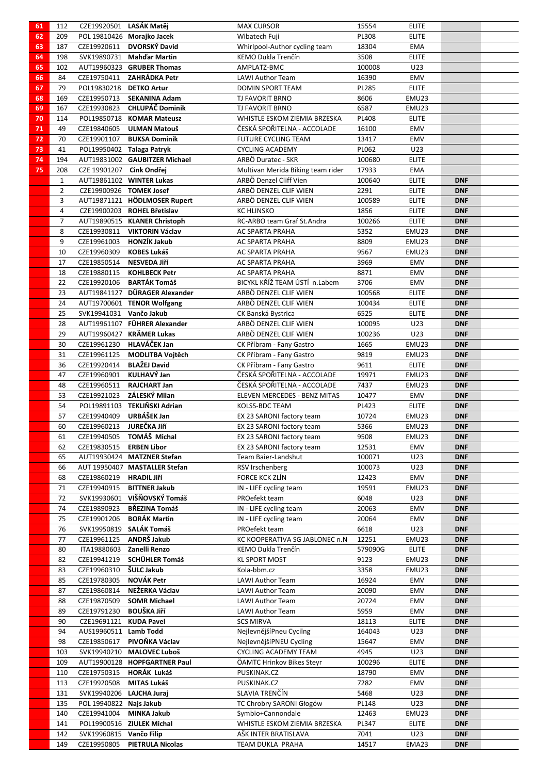| 61 | 112          | CZE19920501 LASÁK Matěj  |                                                  | <b>MAX CURSOR</b>                                       | 15554        | <b>ELITE</b> |            |  |
|----|--------------|--------------------------|--------------------------------------------------|---------------------------------------------------------|--------------|--------------|------------|--|
| 62 | 209          |                          | POL 19810426 Morajko Jacek                       | Wibatech Fuji                                           | PL308        | <b>ELITE</b> |            |  |
| 63 | 187          | CZE19920611              | DVORSKÝ David                                    | Whirlpool-Author cycling team                           | 18304        | EMA          |            |  |
| 64 | 198          |                          | SVK19890731 Mahd'ar Martin                       | KEMO Dukla Trenčín                                      | 3508         | <b>ELITE</b> |            |  |
| 65 | 102          |                          | AUT19960323 GRUBER Thomas                        | AMPLATZ-BMC                                             | 100008       | U23          |            |  |
| 66 | 84           |                          | CZE19750411 ZAHRÁDKA Petr                        | LAWI Author Team                                        | 16390        | EMV          |            |  |
| 67 | 79           | POL19830218 DETKO Artur  |                                                  | DOMIN SPORT TEAM                                        | PL285        | <b>ELITE</b> |            |  |
| 68 | 169          |                          | CZE19950713 SEKANINA Adam                        | TJ FAVORIT BRNO                                         | 8606         | EMU23        |            |  |
| 69 | 167          | CZE19930823              | <b>CHLUPÁČ Dominik</b>                           | TJ FAVORIT BRNO                                         | 6587         | EMU23        |            |  |
| 70 | 114          |                          | POL19850718 KOMAR Mateusz                        | WHISTLE ESKOM ZIEMIA BRZESKA                            | <b>PL408</b> | <b>ELITE</b> |            |  |
| 71 | 49           |                          | CZE19840605 ULMAN Matouš                         | ČESKÁ SPOŘITELNA - ACCOLADE                             | 16100        | EMV          |            |  |
| 72 | 70           | CZE19901107              | <b>BUKSA Dominik</b>                             | <b>FUTURE CYCLING TEAM</b>                              | 13417        | EMV          |            |  |
| 73 | 41           |                          | POL19950402 Talaga Patryk                        | <b>CYCLING ACADEMY</b>                                  | PL062        | U23          |            |  |
| 74 | 194          |                          | AUT19831002 GAUBITZER Michael                    | ARBÖ Duratec - SKR                                      | 100680       | <b>ELITE</b> |            |  |
| 75 | 208          | CZE 19901207 Cink Ondřej |                                                  | Multivan Merida Biking team rider                       | 17933        | <b>EMA</b>   |            |  |
|    | $\mathbf{1}$ |                          | AUT19861102 WINTER Lukas                         | ARBÖ Denzel Cliff Vien                                  | 100640       | <b>ELITE</b> | <b>DNF</b> |  |
|    | 2            |                          | CZE19900926 TOMEK Josef                          | ARBÖ DENZEL CLIF WIEN                                   | 2291         | <b>ELITE</b> | <b>DNF</b> |  |
|    | 3            |                          | AUT19871121 HÖDLMOSER Rupert                     | ARBÖ DENZEL CLIF WIEN                                   | 100589       | <b>ELITE</b> | <b>DNF</b> |  |
|    | 4            |                          | CZE19900203 ROHEL Břetislav                      | <b>KC HLINSKO</b>                                       | 1856         | <b>ELITE</b> | <b>DNF</b> |  |
|    | 7            |                          | AUT19890515 KLANER Christoph                     | RC-ARBO team Graf St.Andra                              | 100266       | <b>ELITE</b> | <b>DNF</b> |  |
|    | 8            | CZE19930811              | VIKTORIN Václav                                  | <b>AC SPARTA PRAHA</b>                                  | 5352         | EMU23        | <b>DNF</b> |  |
|    | 9            |                          | CZE19961003 HONZÍK Jakub                         | AC SPARTA PRAHA                                         | 8809         | EMU23        | <b>DNF</b> |  |
|    | 10           | CZE19960309              | <b>KOBES Lukáš</b>                               | AC SPARTA PRAHA                                         | 9567         | EMU23        | <b>DNF</b> |  |
|    | 17           | CZE19850514              | NESVEDA Jiří                                     | AC SPARTA PRAHA                                         | 3969         | EMV          | <b>DNF</b> |  |
|    | 18           | CZE19880115              | <b>KOHLBECK Petr</b>                             | AC SPARTA PRAHA                                         | 8871         | EMV          | <b>DNF</b> |  |
|    | 22           | CZE19920106              | <b>BARTÁK Tomáš</b>                              | BICYKL KŘÍŽ TEAM ÚSTÍ n.Labem                           | 3706         | EMV          | <b>DNF</b> |  |
|    | 23           |                          | AUT19841127 DÜRAGER Alexander                    | ARBÖ DENZEL CLIF WIEN                                   | 100568       | <b>ELITE</b> | <b>DNF</b> |  |
|    | 24           |                          | AUT19700601 TENOR Wolfgang                       | ARBÖ DENZEL CLIF WIEN                                   | 100434       | <b>ELITE</b> | <b>DNF</b> |  |
|    | 25           | SVK19941031 Vančo Jakub  |                                                  | CK Banská Bystrica                                      | 6525         | <b>ELITE</b> | <b>DNF</b> |  |
|    | 28           |                          | AUT19961107 FÜHRER Alexander                     | ARBÖ DENZEL CLIF WIEN                                   | 100095       | U23          | <b>DNF</b> |  |
|    | 29           |                          | AUT19960427 KRÄMER Lukas                         | ARBÖ DENZEL CLIF WIEN                                   | 100236       | U23          |            |  |
|    |              |                          | <b>HLAVÁČEK Jan</b>                              |                                                         |              |              | <b>DNF</b> |  |
|    | 30           | CZE19961230              |                                                  | CK Příbram - Fany Gastro                                | 1665<br>9819 | EMU23        | <b>DNF</b> |  |
|    | 31           | CZE19961125              | MODLITBA Vojtěch<br><b>BLAŽEJ David</b>          | CK Příbram - Fany Gastro                                | 9611         | EMU23        | <b>DNF</b> |  |
|    | 36           | CZE19920414              | KULHAVÝ Jan                                      | CK Příbram - Fany Gastro<br>ČESKÁ SPOŘITELNA - ACCOLADE |              | <b>ELITE</b> | <b>DNF</b> |  |
|    | 47           | CZE19960901              |                                                  |                                                         | 19971        | EMU23        | <b>DNF</b> |  |
|    | 48           | CZE19960511              | <b>RAJCHART Jan</b><br>CZE19921023 ZÁLESKÝ Milan | ČESKÁ SPOŘITELNA - ACCOLADE                             | 7437         | EMU23        | <b>DNF</b> |  |
|    | 53           |                          |                                                  | ELEVEN MERCEDES - BENZ MITAS                            | 10477        | EMV          | <b>DNF</b> |  |
|    | 54           | CZE19940409              | POL19891103 TEKLIŇSKI Adrian<br>URBÁŠEK Jan      | KOLSS-BDC TEAM                                          | PL423        | <b>ELITE</b> | <b>DNF</b> |  |
|    | 57           |                          |                                                  | EX 23 SARONI factory team                               | 10724        | EMU23        | <b>DNF</b> |  |
|    | 60           | CZE19960213              | JUREČKA Jiří                                     | EX 23 SARONI factory team                               | 5366         | EMU23        | <b>DNF</b> |  |
|    | 61           | CZE19940505              | TOMÁŠ Michal                                     | EX 23 SARONI factory team                               | 9508         | EMU23        | <b>DNF</b> |  |
|    | 62           | CZE19830515              | <b>ERBEN Libor</b>                               | EX 23 SARONI factory team                               | 12531        | EMV          | <b>DNF</b> |  |
|    | 65           |                          | AUT19930424 MATZNER Stefan                       | Team Baier-Landshut                                     | 100071       | U23          | <b>DNF</b> |  |
|    | 66           |                          | AUT 19950407 MASTALLER Stefan                    | RSV Irschenberg                                         | 100073       | U23          | <b>DNF</b> |  |
|    | 68           | CZE19860219              | <b>HRADIL Jiří</b>                               | FORCE KCK ZLÍN                                          | 12423        | EMV          | <b>DNF</b> |  |
|    | 71           | CZE19940915              | <b>BITTNER Jakub</b>                             | IN - LIFE cycling team                                  | 19591        | EMU23        | <b>DNF</b> |  |
|    | 72           |                          | SVK19930601 VIŠŇOVSKÝ Tomáš                      | PROefekt team                                           | 6048         | U23          | <b>DNF</b> |  |
|    | 74           | CZE19890923              | <b>BŘEZINA Tomáš</b>                             | IN - LIFE cycling team                                  | 20063        | EMV          | <b>DNF</b> |  |
|    | 75           | CZE19901206              | <b>BORÁK Martin</b>                              | IN - LIFE cycling team                                  | 20064        | EMV          | <b>DNF</b> |  |
|    | 76           |                          | SVK19950819 SALÁK Tomáš                          | PROefekt team                                           | 6618         | U23          | <b>DNF</b> |  |
|    | 77           | CZE19961125              | ANDRŠ Jakub                                      | KC KOOPERATIVA SG JABLONEC n.N                          | 12251        | EMU23        | <b>DNF</b> |  |
|    | 80           | ITA19880603              | Zanelli Renzo                                    | KEMO Dukla Trenčín                                      | 579090G      | <b>ELITE</b> | <b>DNF</b> |  |
|    | 82           | CZE19941219              | <b>SCHÜHLER Tomáš</b>                            | <b>KL SPORT MOST</b>                                    | 9123         | EMU23        | <b>DNF</b> |  |
|    | 83           | CZE19960310              | ŠULC Jakub                                       | Kola-bbm.cz                                             | 3358         | EMU23        | <b>DNF</b> |  |
|    | 85           | CZE19780305              | <b>NOVÁK Petr</b>                                | LAWI Author Team                                        | 16924        | EMV          | <b>DNF</b> |  |
|    | 87           | CZE19860814              | NEŽERKA Václav                                   | LAWI Author Team                                        | 20090        | EMV          | <b>DNF</b> |  |
|    | 88           | CZE19870509              | <b>SOMR Michael</b>                              | LAWI Author Team                                        | 20724        | EMV          | <b>DNF</b> |  |
|    | 89           | CZE19791230              | <b>BOUŠKA Jiří</b>                               | LAWI Author Team                                        | 5959         | EMV          | <b>DNF</b> |  |
|    | 90           | CZE19691121 KUDA Pavel   |                                                  | <b>SCS MIRVA</b>                                        | 18113        | <b>ELITE</b> | <b>DNF</b> |  |
|    | 94           | AUS19960511 Lamb Todd    |                                                  | NejlevnějšíPneu Cycilng                                 | 164043       | U23          | <b>DNF</b> |  |
|    | 98           | CZE19850617              | PIVOŇKA Václav                                   | NejlevnějšíPNEU Cycling                                 | 15647        | EMV          | <b>DNF</b> |  |
|    | 103          |                          | SVK19940210 MALOVEC Luboš                        | <b>CYCLING ACADEMY TEAM</b>                             | 4945         | U23          | <b>DNF</b> |  |
|    | 109          |                          | AUT19900128 HOPFGARTNER Paul                     | ÖAMTC Hrinkov Bikes Steyr                               | 100296       | <b>ELITE</b> | <b>DNF</b> |  |
|    | 110          |                          | CZE19750315 HORÁK Lukáš                          | PUSKINAK.CZ                                             | 18790        | EMV          | <b>DNF</b> |  |
|    | 113          | CZE19920508              | MITAS Lukáš                                      | PUSKINAK.CZ                                             | 7282         | EMV          | <b>DNF</b> |  |
|    | 131          | SVK19940206 LAJCHA Juraj |                                                  | SLAVIA TRENČÍN                                          | 5468         | U23          | <b>DNF</b> |  |
|    | 135          | POL 19940822 Najs Jakub  |                                                  | TC Chrobry SARONI Głogów                                | PL148        | U23          | <b>DNF</b> |  |
|    | 140          | CZE19941004              | <b>MINKA Jakub</b>                               | Symbio+Cannondale                                       | 12463        | EMU23        | <b>DNF</b> |  |
|    | 141          |                          | POL19900516 ZIULEK Michal                        | WHISTLE ESKOM ZIEMIA BRZESKA                            | PL347        | <b>ELITE</b> | <b>DNF</b> |  |
|    | 142          | SVK19960815 Vančo Filip  |                                                  | AŠK INTER BRATISLAVA                                    | 7041         | U23          | <b>DNF</b> |  |
|    | 149          | CZE19950805              | <b>PIETRULA Nicolas</b>                          | TEAM DUKLA PRAHA                                        | 14517        | EMA23        | <b>DNF</b> |  |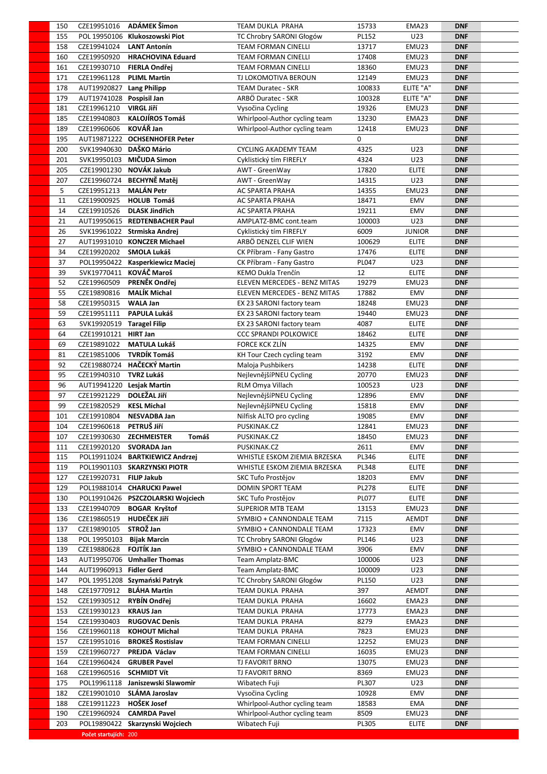| 150 |                           | CZE19951016 ADÁMEK Šimon          | TEAM DUKLA PRAHA              | 15733        | EMA23         | <b>DNF</b> |  |
|-----|---------------------------|-----------------------------------|-------------------------------|--------------|---------------|------------|--|
| 155 |                           | POL 19950106 Klukoszowski Piot    | TC Chrobry SARONI Głogów      | PL152        | U23           | <b>DNF</b> |  |
| 158 | CZE19941024 LANT Antonín  |                                   | <b>TEAM FORMAN CINELLI</b>    | 13717        | EMU23         | <b>DNF</b> |  |
| 160 |                           | CZE19950920 HRACHOVINA Eduard     | <b>TEAM FORMAN CINELLI</b>    | 17408        | EMU23         | <b>DNF</b> |  |
| 161 | CZE19930710 FIERLA Ondřej |                                   | <b>TEAM FORMAN CINELLI</b>    | 18360        | EMU23         | <b>DNF</b> |  |
|     |                           |                                   |                               |              |               |            |  |
| 171 | CZE19961128               | <b>PLIML Martin</b>               | TJ LOKOMOTIVA BEROUN          | 12149        | EMU23         | <b>DNF</b> |  |
| 178 | AUT19920827 Lang Philipp  |                                   | <b>TEAM Duratec - SKR</b>     | 100833       | ELITE "A"     | <b>DNF</b> |  |
| 179 | AUT19741028 Pospisil Jan  |                                   | ARBÖ Duratec - SKR            | 100328       | ELITE "A"     | <b>DNF</b> |  |
| 181 | CZE19961210               | <b>VIRGL Jiří</b>                 | Vysočina Cycling              | 19326        | EMU23         | <b>DNF</b> |  |
| 185 | CZE19940803               | <b>KALOJÍROS Tomáš</b>            | Whirlpool-Author cycling team | 13230        | EMA23         | <b>DNF</b> |  |
| 189 | CZE19960606               | KOVÁŘ Jan                         | Whirlpool-Author cycling team | 12418        | EMU23         | <b>DNF</b> |  |
| 195 |                           | AUT19871222 OCHSENHOFER Peter     |                               | 0            |               | <b>DNF</b> |  |
| 200 | SVK19940630 DAŠKO Mário   |                                   | <b>CYCLING AKADEMY TEAM</b>   | 4325         | U23           | <b>DNF</b> |  |
| 201 |                           | SVK19950103 MIČUDA Simon          | Cyklistický tím FIREFLY       | 4324         | U23           | <b>DNF</b> |  |
| 205 | CZE19901230               | NOVÁK Jakub                       | AWT - GreenWay                | 17820        | <b>ELITE</b>  | <b>DNF</b> |  |
|     |                           | CZE19960724 BECHYNĚ Matěj         |                               | 14315        | U23           |            |  |
| 207 |                           |                                   | AWT - GreenWay                |              |               | <b>DNF</b> |  |
| 5   | CZE19951213               | <b>MALÁN Petr</b>                 | AC SPARTA PRAHA               | 14355        | EMU23         | <b>DNF</b> |  |
| 11  | CZE19900925               | <b>HOLUB Tomáš</b>                | AC SPARTA PRAHA               | 18471        | EMV           | <b>DNF</b> |  |
| 14  | CZE19910526               | <b>DLASK Jindřich</b>             | AC SPARTA PRAHA               | 19211        | EMV           | <b>DNF</b> |  |
| 21  |                           | AUT19950615 REDTENBACHER Paul     | AMPLATZ-BMC cont.team         | 100003       | U23           | <b>DNF</b> |  |
| 26  |                           | SVK19961022 Strmiska Andrej       | Cyklistický tím FIREFLY       | 6009         | <b>JUNIOR</b> | <b>DNF</b> |  |
| 27  |                           | AUT19931010 KONCZER Michael       | ARBÖ DENZEL CLIF WIEN         | 100629       | <b>ELITE</b>  | <b>DNF</b> |  |
| 34  | CZE19920202               | SMOLA Lukáš                       | CK Příbram - Fany Gastro      | 17476        | <b>ELITE</b>  | <b>DNF</b> |  |
| 37  |                           | POL19950422 Kasperkiewicz Maciej  | CK Příbram - Fany Gastro      | PL047        | U23           | <b>DNF</b> |  |
| 39  |                           | SVK19770411 KOVÁČ Maroš           | KEMO Dukla Trenčín            | 12           | <b>ELITE</b>  | <b>DNF</b> |  |
|     |                           |                                   |                               |              |               |            |  |
| 52  | CZE19960509               | PRENĚK Ondřej                     | ELEVEN MERCEDES - BENZ MITAS  | 19279        | EMU23         | <b>DNF</b> |  |
| 55  | CZE19890816               | <b>MALÍK Michal</b>               | ELEVEN MERCEDES - BENZ MITAS  | 17882        | EMV           | <b>DNF</b> |  |
| 58  | CZE19950315               | <b>WALA Jan</b>                   | EX 23 SARONI factory team     | 18248        | EMU23         | <b>DNF</b> |  |
| 59  | CZE19951111               | PAPULA Lukáš                      | EX 23 SARONI factory team     | 19440        | EMU23         | <b>DNF</b> |  |
| 63  | SVK19920519 Taragel Filip |                                   | EX 23 SARONI factory team     | 4087         | <b>ELITE</b>  | <b>DNF</b> |  |
| 64  | CZE19910121 HIRT Jan      |                                   | <b>CCC SPRANDI POLKOWICE</b>  | 18462        | <b>ELITE</b>  | <b>DNF</b> |  |
| 69  | CZE19891022               | <b>MATULA Lukáš</b>               | <b>FORCE KCK ZLÍN</b>         | 14325        | EMV           | <b>DNF</b> |  |
| 81  | CZE19851006               | <b>TVRDÍK Tomáš</b>               | KH Tour Czech cycling team    | 3192         | EMV           | <b>DNF</b> |  |
| 92  |                           | CZE19880724 HAČECKÝ Martin        | Maloja Pushbikers             | 14238        | <b>ELITE</b>  | <b>DNF</b> |  |
|     |                           |                                   |                               |              |               |            |  |
| 95  | CZE19940310               | <b>TVRZ Lukáš</b>                 | NejlevnějšíPNEU Cycling       | 20770        | EMU23         | <b>DNF</b> |  |
| 96  | AUT19941220 Lesjak Martin |                                   | RLM Omya Villach              | 100523       | U23           | <b>DNF</b> |  |
| 97  | CZE19921229               | <b>DOLEŽAL JIří</b>               | NejlevnějšíPNEU Cycling       | 12896        | EMV           | <b>DNF</b> |  |
| 99  | CZE19820529               | <b>KESL Michal</b>                | NejlevnějšíPNEU Cycling       | 15818        | EMV           | <b>DNF</b> |  |
| 101 | CZE19910804               | <b>NESVADBA Jan</b>               | Nilfisk ALTO pro cycling      | 19085        | EMV           | <b>DNF</b> |  |
| 104 | CZE19960618               | PETRUŠ JIří                       | PUSKINAK.CZ                   | 12841        | EMU23         | <b>DNF</b> |  |
| 107 | CZE19930630               | Tomáš<br><b>ZECHMEISTER</b>       | PUSKINAK.CZ                   | 18450        | EMU23         | <b>DNF</b> |  |
| 111 | CZE19920120               | SVORADA Jan                       | PUSKINAK.CZ                   | 2611         | EMV           | <b>DNF</b> |  |
| 115 | POL19911024               | <b>BARTKIEWICZ Andrzej</b>        | WHISTLE ESKOM ZIEMIA BRZESKA  | PL346        | <b>ELITE</b>  | <b>DNF</b> |  |
|     |                           |                                   |                               |              |               |            |  |
| 119 |                           | POL19901103 SKARZYNSKI PIOTR      | WHISTLE ESKOM ZIEMIA BRZESKA  | <b>PL348</b> | <b>ELITE</b>  | <b>DNF</b> |  |
| 127 | CZE19920731               | <b>FILIP Jakub</b>                | SKC Tufo Prostějov            | 18203        | EMV           | <b>DNF</b> |  |
| 129 |                           | POL19881014 CHARUCKI Pawel        | DOMIN SPORT TEAM              | <b>PL278</b> | <b>ELITE</b>  | <b>DNF</b> |  |
| 130 |                           | POL19910426 PSZCZOLARSKI Wojciech | SKC Tufo Prostějov            | <b>PL077</b> | <b>ELITE</b>  | <b>DNF</b> |  |
| 133 | CZE19940709               | <b>BOGAR Kryštof</b>              | <b>SUPERIOR MTB TEAM</b>      | 13153        | EMU23         | <b>DNF</b> |  |
| 136 | CZE19860519               | <b>HUDEČEK JIří</b>               | SYMBIO + CANNONDALE TEAM      | 7115         | <b>AEMDT</b>  | <b>DNF</b> |  |
| 137 | CZE19890105               | STROŽ Jan                         | SYMBIO + CANNONDALE TEAM      | 17323        | EMV           | <b>DNF</b> |  |
| 138 | POL 19950103              | <b>Bijak Marcin</b>               | TC Chrobry SARONI Głogów      | PL146        | U23           | <b>DNF</b> |  |
| 139 | CZE19880628               | <b>FOJTÍK Jan</b>                 | SYMBIO + CANNONDALE TEAM      | 3906         | EMV           | <b>DNF</b> |  |
| 143 |                           | AUT19950706 Umhaller Thomas       | Team Amplatz-BMC              | 100006       | U23           | <b>DNF</b> |  |
|     |                           |                                   |                               |              |               |            |  |
| 144 | AUT19960913 Fidler Gerd   |                                   | Team Amplatz-BMC              | 100009       | U23           | <b>DNF</b> |  |
| 147 |                           | POL 19951208 Szymański Patryk     | TC Chrobry SARONI Głogów      | PL150        | U23           | <b>DNF</b> |  |
| 148 | CZE19770912               | <b>BLÁHA Martin</b>               | TEAM DUKLA PRAHA              | 397          | <b>AEMDT</b>  | <b>DNF</b> |  |
| 152 | CZE19930512               | <b>RYBÍN Ondřej</b>               | TEAM DUKLA PRAHA              | 16602        | EMA23         | <b>DNF</b> |  |
| 153 | CZE19930123               | <b>KRAUS Jan</b>                  | TEAM DUKLA PRAHA              | 17773        | EMA23         | <b>DNF</b> |  |
| 154 | CZE19930403               | <b>RUGOVAC Denis</b>              | TEAM DUKLA PRAHA              | 8279         | EMA23         | <b>DNF</b> |  |
| 156 | CZE19960118               | <b>KOHOUT Michal</b>              | TEAM DUKLA PRAHA              | 7823         | EMU23         | <b>DNF</b> |  |
| 157 | CZE19951016               | <b>BROKEŠ Rostislav</b>           | <b>TEAM FORMAN CINELLI</b>    | 12252        | EMU23         | <b>DNF</b> |  |
| 159 | CZE19960727               | PREJDA Václav                     | <b>TEAM FORMAN CINELLI</b>    | 16035        | EMU23         | <b>DNF</b> |  |
| 164 | CZE19960424               | <b>GRUBER Pavel</b>               | TJ FAVORIT BRNO               | 13075        | EMU23         | <b>DNF</b> |  |
|     | CZE19960516               | <b>SCHMIDT Vít</b>                | TJ FAVORIT BRNO               | 8369         |               | <b>DNF</b> |  |
| 168 |                           |                                   |                               |              | EMU23         |            |  |
| 175 | POL19961118               | Janiszewski Slawomir              | Wibatech Fuji                 | PL307        | U23           | <b>DNF</b> |  |
| 182 | CZE19901010               | SLÁMA Jaroslav                    | Vysočina Cycling              | 10928        | EMV           | <b>DNF</b> |  |
| 188 | CZE19911223               | <b>HOŠEK Josef</b>                | Whirlpool-Author cycling team | 18583        | EMA           | <b>DNF</b> |  |
| 190 | CZE19960924               | <b>CAMRDA Pavel</b>               | Whirlpool-Author cycling team | 8509         | EMU23         | <b>DNF</b> |  |
| 203 |                           | POL19890422 Skarzynski Wojciech   | Wibatech Fuji                 | PL305        | <b>ELITE</b>  | <b>DNF</b> |  |
|     | Počet startujích: 200     |                                   |                               |              |               |            |  |